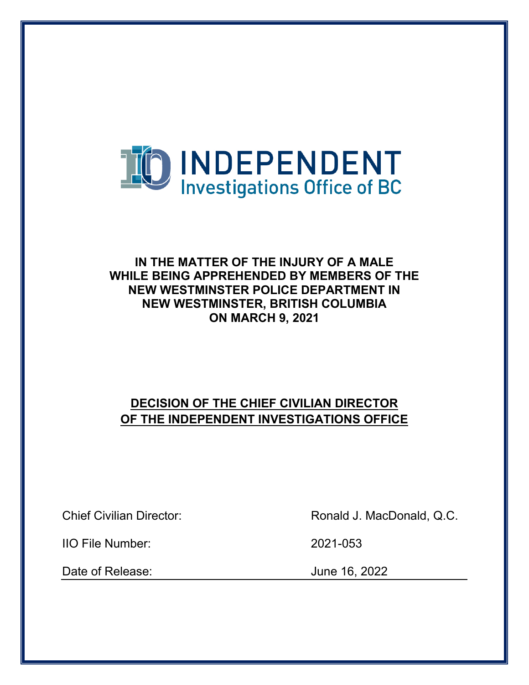

#### **IN THE MATTER OF THE INJURY OF A MALE WHILE BEING APPREHENDED BY MEMBERS OF THE NEW WESTMINSTER POLICE DEPARTMENT IN NEW WESTMINSTER, BRITISH COLUMBIA ON MARCH 9, 2021**

# **DECISION OF THE CHIEF CIVILIAN DIRECTOR OF THE INDEPENDENT INVESTIGATIONS OFFICE**

IIO File Number: 2021-053

Date of Release: June 16, 2022

Chief Civilian Director: Ronald J. MacDonald, Q.C.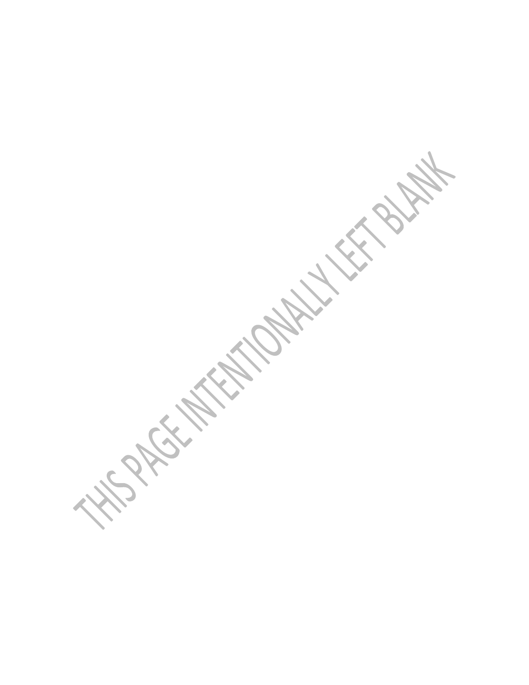Hispanish Maritim River Button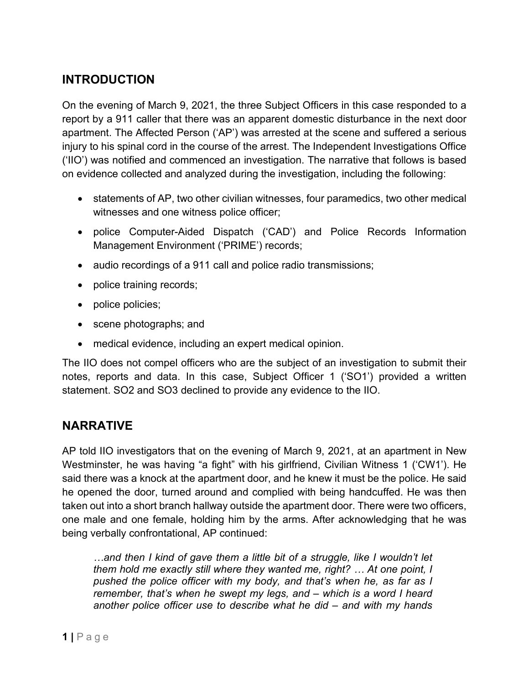### **INTRODUCTION**

On the evening of March 9, 2021, the three Subject Officers in this case responded to a report by a 911 caller that there was an apparent domestic disturbance in the next door apartment. The Affected Person ('AP') was arrested at the scene and suffered a serious injury to his spinal cord in the course of the arrest. The Independent Investigations Office ('IIO') was notified and commenced an investigation. The narrative that follows is based on evidence collected and analyzed during the investigation, including the following:

- statements of AP, two other civilian witnesses, four paramedics, two other medical witnesses and one witness police officer;
- police Computer-Aided Dispatch ('CAD') and Police Records Information Management Environment ('PRIME') records;
- audio recordings of a 911 call and police radio transmissions;
- police training records;
- police policies;
- scene photographs; and
- medical evidence, including an expert medical opinion.

The IIO does not compel officers who are the subject of an investigation to submit their notes, reports and data. In this case, Subject Officer 1 ('SO1') provided a written statement. SO2 and SO3 declined to provide any evidence to the IIO.

#### **NARRATIVE**

AP told IIO investigators that on the evening of March 9, 2021, at an apartment in New Westminster, he was having "a fight" with his girlfriend, Civilian Witness 1 ('CW1'). He said there was a knock at the apartment door, and he knew it must be the police. He said he opened the door, turned around and complied with being handcuffed. He was then taken out into a short branch hallway outside the apartment door. There were two officers, one male and one female, holding him by the arms. After acknowledging that he was being verbally confrontational, AP continued:

*…and then I kind of gave them a little bit of a struggle, like I wouldn't let them hold me exactly still where they wanted me, right? … At one point, I pushed the police officer with my body, and that's when he, as far as I remember, that's when he swept my legs, and – which is a word I heard another police officer use to describe what he did – and with my hands*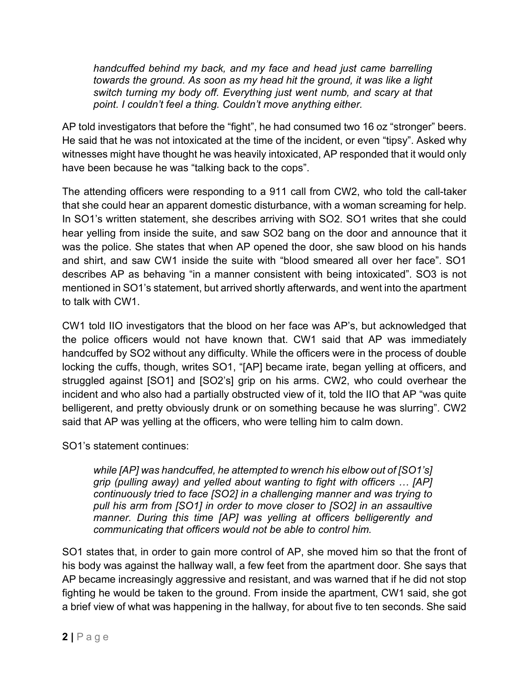*handcuffed behind my back, and my face and head just came barrelling towards the ground. As soon as my head hit the ground, it was like a light switch turning my body off. Everything just went numb, and scary at that point. I couldn't feel a thing. Couldn't move anything either.* 

AP told investigators that before the "fight", he had consumed two 16 oz "stronger" beers. He said that he was not intoxicated at the time of the incident, or even "tipsy". Asked why witnesses might have thought he was heavily intoxicated, AP responded that it would only have been because he was "talking back to the cops".

The attending officers were responding to a 911 call from CW2, who told the call-taker that she could hear an apparent domestic disturbance, with a woman screaming for help. In SO1's written statement, she describes arriving with SO2. SO1 writes that she could hear yelling from inside the suite, and saw SO2 bang on the door and announce that it was the police. She states that when AP opened the door, she saw blood on his hands and shirt, and saw CW1 inside the suite with "blood smeared all over her face". SO1 describes AP as behaving "in a manner consistent with being intoxicated". SO3 is not mentioned in SO1's statement, but arrived shortly afterwards, and went into the apartment to talk with CW1.

CW1 told IIO investigators that the blood on her face was AP's, but acknowledged that the police officers would not have known that. CW1 said that AP was immediately handcuffed by SO2 without any difficulty. While the officers were in the process of double locking the cuffs, though, writes SO1, "[AP] became irate, began yelling at officers, and struggled against [SO1] and [SO2's] grip on his arms. CW2, who could overhear the incident and who also had a partially obstructed view of it, told the IIO that AP "was quite belligerent, and pretty obviously drunk or on something because he was slurring". CW2 said that AP was yelling at the officers, who were telling him to calm down.

SO1's statement continues:

*while [AP] was handcuffed, he attempted to wrench his elbow out of [SO1's] grip (pulling away) and yelled about wanting to fight with officers … [AP] continuously tried to face [SO2] in a challenging manner and was trying to pull his arm from [SO1] in order to move closer to [SO2] in an assaultive manner. During this time [AP] was yelling at officers belligerently and communicating that officers would not be able to control him.*

SO1 states that, in order to gain more control of AP, she moved him so that the front of his body was against the hallway wall, a few feet from the apartment door. She says that AP became increasingly aggressive and resistant, and was warned that if he did not stop fighting he would be taken to the ground. From inside the apartment, CW1 said, she got a brief view of what was happening in the hallway, for about five to ten seconds. She said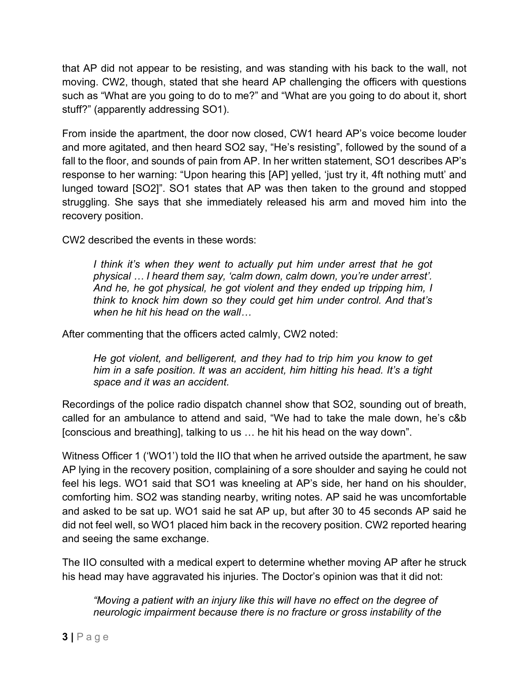that AP did not appear to be resisting, and was standing with his back to the wall, not moving. CW2, though, stated that she heard AP challenging the officers with questions such as "What are you going to do to me?" and "What are you going to do about it, short stuff?" (apparently addressing SO1).

From inside the apartment, the door now closed, CW1 heard AP's voice become louder and more agitated, and then heard SO2 say, "He's resisting", followed by the sound of a fall to the floor, and sounds of pain from AP. In her written statement, SO1 describes AP's response to her warning: "Upon hearing this [AP] yelled, 'just try it, 4ft nothing mutt' and lunged toward [SO2]". SO1 states that AP was then taken to the ground and stopped struggling. She says that she immediately released his arm and moved him into the recovery position.

CW2 described the events in these words:

I think it's when they went to actually put him under arrest that he got *physical … I heard them say, 'calm down, calm down, you're under arrest'. And he, he got physical, he got violent and they ended up tripping him, I think to knock him down so they could get him under control. And that's when he hit his head on the wall…*

After commenting that the officers acted calmly, CW2 noted:

*He got violent, and belligerent, and they had to trip him you know to get him in a safe position. It was an accident, him hitting his head. It's a tight space and it was an accident.*

Recordings of the police radio dispatch channel show that SO2, sounding out of breath, called for an ambulance to attend and said, "We had to take the male down, he's c&b [conscious and breathing], talking to us … he hit his head on the way down".

Witness Officer 1 ('WO1') told the IIO that when he arrived outside the apartment, he saw AP lying in the recovery position, complaining of a sore shoulder and saying he could not feel his legs. WO1 said that SO1 was kneeling at AP's side, her hand on his shoulder, comforting him. SO2 was standing nearby, writing notes. AP said he was uncomfortable and asked to be sat up. WO1 said he sat AP up, but after 30 to 45 seconds AP said he did not feel well, so WO1 placed him back in the recovery position. CW2 reported hearing and seeing the same exchange.

The IIO consulted with a medical expert to determine whether moving AP after he struck his head may have aggravated his injuries. The Doctor's opinion was that it did not:

*"Moving a patient with an injury like this will have no effect on the degree of neurologic impairment because there is no fracture or gross instability of the*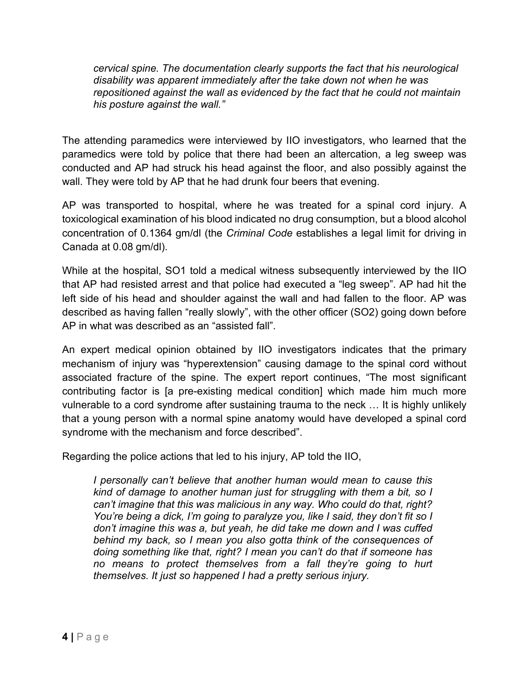*cervical spine. The documentation clearly supports the fact that his neurological disability was apparent immediately after the take down not when he was repositioned against the wall as evidenced by the fact that he could not maintain his posture against the wall."*

The attending paramedics were interviewed by IIO investigators, who learned that the paramedics were told by police that there had been an altercation, a leg sweep was conducted and AP had struck his head against the floor, and also possibly against the wall. They were told by AP that he had drunk four beers that evening.

AP was transported to hospital, where he was treated for a spinal cord injury. A toxicological examination of his blood indicated no drug consumption, but a blood alcohol concentration of 0.1364 gm/dl (the *Criminal Code* establishes a legal limit for driving in Canada at 0.08 gm/dl).

While at the hospital, SO1 told a medical witness subsequently interviewed by the IIO that AP had resisted arrest and that police had executed a "leg sweep". AP had hit the left side of his head and shoulder against the wall and had fallen to the floor. AP was described as having fallen "really slowly", with the other officer (SO2) going down before AP in what was described as an "assisted fall".

An expert medical opinion obtained by IIO investigators indicates that the primary mechanism of injury was "hyperextension" causing damage to the spinal cord without associated fracture of the spine. The expert report continues, "The most significant contributing factor is [a pre-existing medical condition] which made him much more vulnerable to a cord syndrome after sustaining trauma to the neck … It is highly unlikely that a young person with a normal spine anatomy would have developed a spinal cord syndrome with the mechanism and force described".

Regarding the police actions that led to his injury, AP told the IIO,

*I personally can't believe that another human would mean to cause this kind of damage to another human just for struggling with them a bit, so I can't imagine that this was malicious in any way. Who could do that, right? You're being a dick, I'm going to paralyze you, like I said, they don't fit so I don't imagine this was a, but yeah, he did take me down and I was cuffed behind my back, so I mean you also gotta think of the consequences of doing something like that, right? I mean you can't do that if someone has*  no means to protect themselves from a fall they're going to hurt *themselves. It just so happened I had a pretty serious injury.*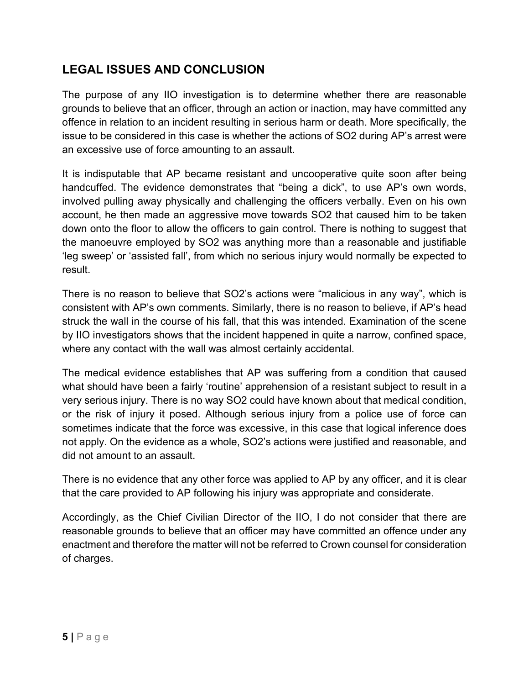## **LEGAL ISSUES AND CONCLUSION**

The purpose of any IIO investigation is to determine whether there are reasonable grounds to believe that an officer, through an action or inaction, may have committed any offence in relation to an incident resulting in serious harm or death. More specifically, the issue to be considered in this case is whether the actions of SO2 during AP's arrest were an excessive use of force amounting to an assault.

It is indisputable that AP became resistant and uncooperative quite soon after being handcuffed. The evidence demonstrates that "being a dick", to use AP's own words, involved pulling away physically and challenging the officers verbally. Even on his own account, he then made an aggressive move towards SO2 that caused him to be taken down onto the floor to allow the officers to gain control. There is nothing to suggest that the manoeuvre employed by SO2 was anything more than a reasonable and justifiable 'leg sweep' or 'assisted fall', from which no serious injury would normally be expected to result.

There is no reason to believe that SO2's actions were "malicious in any way", which is consistent with AP's own comments. Similarly, there is no reason to believe, if AP's head struck the wall in the course of his fall, that this was intended. Examination of the scene by IIO investigators shows that the incident happened in quite a narrow, confined space, where any contact with the wall was almost certainly accidental.

The medical evidence establishes that AP was suffering from a condition that caused what should have been a fairly 'routine' apprehension of a resistant subject to result in a very serious injury. There is no way SO2 could have known about that medical condition, or the risk of injury it posed. Although serious injury from a police use of force can sometimes indicate that the force was excessive, in this case that logical inference does not apply. On the evidence as a whole, SO2's actions were justified and reasonable, and did not amount to an assault.

There is no evidence that any other force was applied to AP by any officer, and it is clear that the care provided to AP following his injury was appropriate and considerate.

Accordingly, as the Chief Civilian Director of the IIO, I do not consider that there are reasonable grounds to believe that an officer may have committed an offence under any enactment and therefore the matter will not be referred to Crown counsel for consideration of charges.